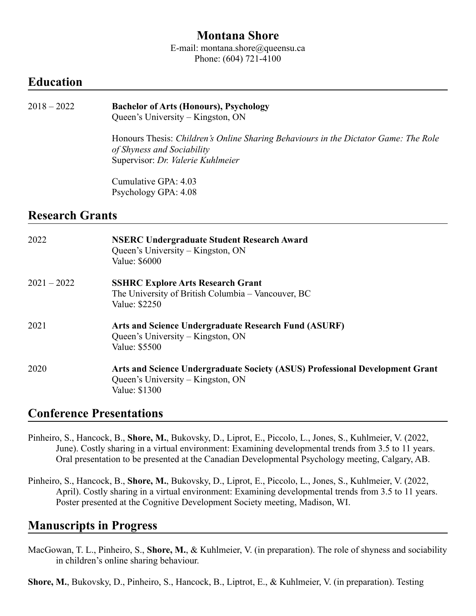### **Montana Shore**

E-mail: montana.shore@queensu.ca Phone: (604) 721-4100

## **Education**

# 2018 – 2022 **Bachelor of Arts (Honours), Psychology**

Queen's University – Kingston, ON

Honours Thesis: *Children's Online Sharing Behaviours in the Dictator Game: The Role of Shyness and Sociability* Supervisor: *Dr. Valerie Kuhlmeier*

Cumulative GPA: 4.03 Psychology GPA: 4.08

## **Research Grants**

| 2022          | <b>NSERC Undergraduate Student Research Award</b><br>Queen's University – Kingston, ON<br>Value: \$6000                            |
|---------------|------------------------------------------------------------------------------------------------------------------------------------|
| $2021 - 2022$ | <b>SSHRC Explore Arts Research Grant</b><br>The University of British Columbia – Vancouver, BC<br>Value: \$2250                    |
| 2021          | Arts and Science Undergraduate Research Fund (ASURF)<br>Queen's University – Kingston, ON<br>Value: \$5500                         |
| 2020          | Arts and Science Undergraduate Society (ASUS) Professional Development Grant<br>Queen's University – Kingston, ON<br>Value: \$1300 |

## **Conference Presentations**

- Pinheiro, S., Hancock, B., **Shore, M.**, Bukovsky, D., Liprot, E., Piccolo, L., Jones, S., Kuhlmeier, V. (2022, June). Costly sharing in a virtual environment: Examining developmental trends from 3.5 to 11 years. Oral presentation to be presented at the Canadian Developmental Psychology meeting, Calgary, AB.
- Pinheiro, S., Hancock, B., **Shore, M.**, Bukovsky, D., Liprot, E., Piccolo, L., Jones, S., Kuhlmeier, V. (2022, April). Costly sharing in a virtual environment: Examining developmental trends from 3.5 to 11 years. Poster presented at the Cognitive Development Society meeting, Madison, WI.

### **Manuscripts in Progress**

MacGowan, T. L., Pinheiro, S., **Shore, M.**, & Kuhlmeier, V. (in preparation). The role of shyness and sociability in children's online sharing behaviour.

**Shore, M.**, Bukovsky, D., Pinheiro, S., Hancock, B., Liptrot, E., & Kuhlmeier, V. (in preparation). Testing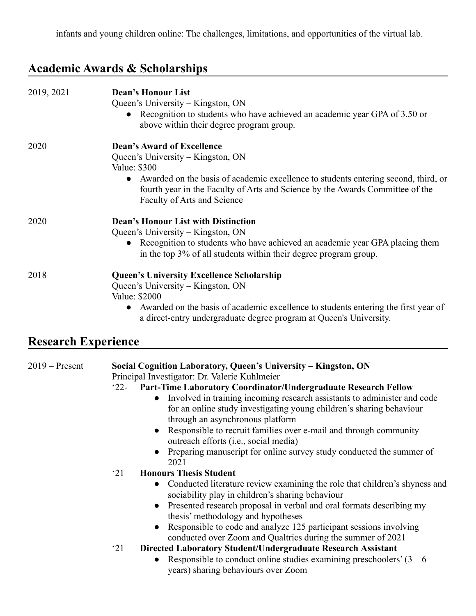# **Academic Awards & Scholarships**

| 2019, 2021                 | <b>Dean's Honour List</b><br>Queen's University – Kingston, ON<br>Recognition to students who have achieved an academic year GPA of 3.50 or<br>above within their degree program group.                                                                                                                                                                                                                                                                                                                                                                                                |
|----------------------------|----------------------------------------------------------------------------------------------------------------------------------------------------------------------------------------------------------------------------------------------------------------------------------------------------------------------------------------------------------------------------------------------------------------------------------------------------------------------------------------------------------------------------------------------------------------------------------------|
| 2020                       | <b>Dean's Award of Excellence</b><br>Queen's University – Kingston, ON<br>Value: \$300<br>Awarded on the basis of academic excellence to students entering second, third, or<br>$\bullet$<br>fourth year in the Faculty of Arts and Science by the Awards Committee of the<br>Faculty of Arts and Science                                                                                                                                                                                                                                                                              |
| 2020                       | <b>Dean's Honour List with Distinction</b><br>Queen's University – Kingston, ON<br>Recognition to students who have achieved an academic year GPA placing them<br>in the top 3% of all students within their degree program group.                                                                                                                                                                                                                                                                                                                                                     |
| 2018                       | <b>Queen's University Excellence Scholarship</b><br>Queen's University – Kingston, ON<br>Value: \$2000<br>Awarded on the basis of academic excellence to students entering the first year of<br>$\bullet$<br>a direct-entry undergraduate degree program at Queen's University.                                                                                                                                                                                                                                                                                                        |
| <b>Research Experience</b> |                                                                                                                                                                                                                                                                                                                                                                                                                                                                                                                                                                                        |
| $2019$ – Present           | Social Cognition Laboratory, Queen's University - Kingston, ON<br>Principal Investigator: Dr. Valerie Kuhlmeier<br>Part-Time Laboratory Coordinator/Undergraduate Research Fellow<br>$22 -$<br>Involved in training incoming research assistants to administer and code<br>$\bullet$<br>for an online study investigating young children's sharing behaviour<br>through an asynchronous platform<br>Responsible to recruit families over e-mail and through community<br>outreach efforts (i.e., social media)<br>Preparing manuscript for online survey study conducted the summer of |

manuscript for online survey study conducted the summer o 2021

#### '21 **Honours Thesis Student**

- **●** Conducted literature review examining the role that children's shyness and sociability play in children's sharing behaviour
- Presented research proposal in verbal and oral formats describing my thesis' methodology and hypotheses
- Responsible to code and analyze 125 participant sessions involving conducted over Zoom and Qualtrics during the summer of 2021

#### '21 **Directed Laboratory Student/Undergraduate Research Assistant**

• Responsible to conduct online studies examining preschoolers'  $(3 - 6)$ years) sharing behaviours over Zoom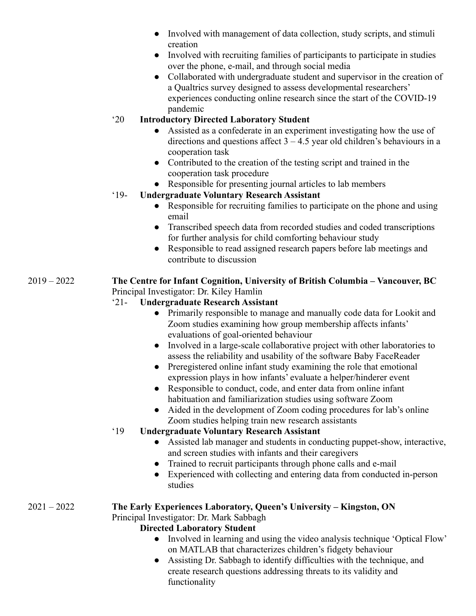- Involved with management of data collection, study scripts, and stimuli creation
- Involved with recruiting families of participants to participate in studies over the phone, e-mail, and through social media
- Collaborated with undergraduate student and supervisor in the creation of a Qualtrics survey designed to assess developmental researchers' experiences conducting online research since the start of the COVID-19 pandemic

#### '20 **Introductory Directed Laboratory Student**

- Assisted as a confederate in an experiment investigating how the use of directions and questions affect  $3 - 4.5$  year old children's behaviours in a cooperation task
- Contributed to the creation of the testing script and trained in the cooperation task procedure
- Responsible for presenting journal articles to lab members

#### '19- **Undergraduate Voluntary Research Assistant**

- Responsible for recruiting families to participate on the phone and using email
- Transcribed speech data from recorded studies and coded transcriptions for further analysis for child comforting behaviour study
- Responsible to read assigned research papers before lab meetings and contribute to discussion

#### 2019 – 2022 **The Centre for Infant Cognition, University of British Columbia – Vancouver, BC** Principal Investigator: Dr. Kiley Hamlin

#### '21- **Undergraduate Research Assistant**

- Primarily responsible to manage and manually code data for Lookit and Zoom studies examining how group membership affects infants' evaluations of goal-oriented behaviour
- Involved in a large-scale collaborative project with other laboratories to assess the reliability and usability of the software Baby FaceReader
- Preregistered online infant study examining the role that emotional expression plays in how infants' evaluate a helper/hinderer event
- Responsible to conduct, code, and enter data from online infant habituation and familiarization studies using software Zoom
- Aided in the development of Zoom coding procedures for lab's online Zoom studies helping train new research assistants

### '19 **Undergraduate Voluntary Research Assistant**

- Assisted lab manager and students in conducting puppet-show, interactive, and screen studies with infants and their caregivers
- Trained to recruit participants through phone calls and e-mail
- Experienced with collecting and entering data from conducted in-person studies

#### 2021 – 2022 **The Early Experiences Laboratory, Queen's University – Kingston, ON** Principal Investigator: Dr. Mark Sabbagh

### **Directed Laboratory Student**

- Involved in learning and using the video analysis technique 'Optical Flow' on MATLAB that characterizes children's fidgety behaviour
- Assisting Dr. Sabbagh to identify difficulties with the technique, and create research questions addressing threats to its validity and functionality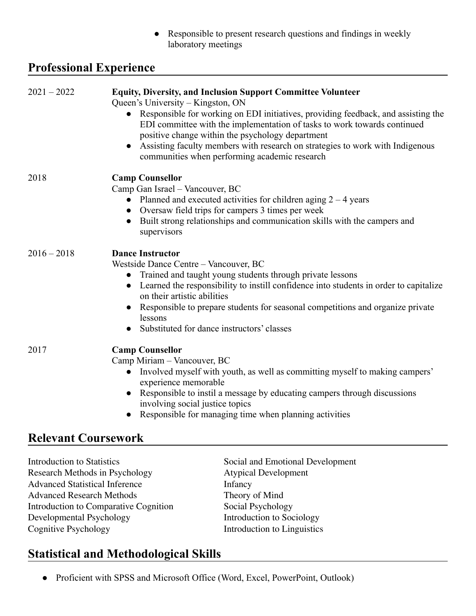● Responsible to present research questions and findings in weekly laboratory meetings

## **Professional Experience**

| $2021 - 2022$                                                       | <b>Equity, Diversity, and Inclusion Support Committee Volunteer</b><br>Queen's University – Kingston, ON<br>• Responsible for working on EDI initiatives, providing feedback, and assisting the<br>EDI committee with the implementation of tasks to work towards continued<br>positive change within the psychology department<br>Assisting faculty members with research on strategies to work with Indigenous<br>communities when performing academic research |
|---------------------------------------------------------------------|-------------------------------------------------------------------------------------------------------------------------------------------------------------------------------------------------------------------------------------------------------------------------------------------------------------------------------------------------------------------------------------------------------------------------------------------------------------------|
| 2018                                                                | <b>Camp Counsellor</b><br>Camp Gan Israel - Vancouver, BC<br>• Planned and executed activities for children aging $2 - 4$ years<br>Oversaw field trips for campers 3 times per week<br>Built strong relationships and communication skills with the campers and<br>supervisors                                                                                                                                                                                    |
| $2016 - 2018$                                                       | <b>Dance Instructor</b><br>Westside Dance Centre - Vancouver, BC<br>Trained and taught young students through private lessons<br>Learned the responsibility to instill confidence into students in order to capitalize<br>on their artistic abilities<br>Responsible to prepare students for seasonal competitions and organize private<br>lessons<br>Substituted for dance instructors' classes                                                                  |
| 2017                                                                | <b>Camp Counsellor</b><br>Camp Miriam - Vancouver, BC<br>Involved myself with youth, as well as committing myself to making campers'<br>$\bullet$<br>experience memorable<br>Responsible to instil a message by educating campers through discussions<br>involving social justice topics<br>Responsible for managing time when planning activities                                                                                                                |
| <b>Relevant Coursework</b>                                          |                                                                                                                                                                                                                                                                                                                                                                                                                                                                   |
| <b>Introduction to Statistics</b><br>Research Methods in Psychology | Social and Emotional Development<br><b>Atypical Development</b>                                                                                                                                                                                                                                                                                                                                                                                                   |

Advanced Statistical Inference<br>Advanced Research Methods<br>Theory of Mind Advanced Research Methods<br>
Introduction to Comparative Cognition<br>
Social Psychology Introduction to Comparative Cognition Social Psychology<br>Developmental Psychology<br>Introduction to Sociology Developmental Psychology<br>Cognitive Psychology

Introduction to Linguistics

# **Statistical and Methodological Skills**

● Proficient with SPSS and Microsoft Office (Word, Excel, PowerPoint, Outlook)